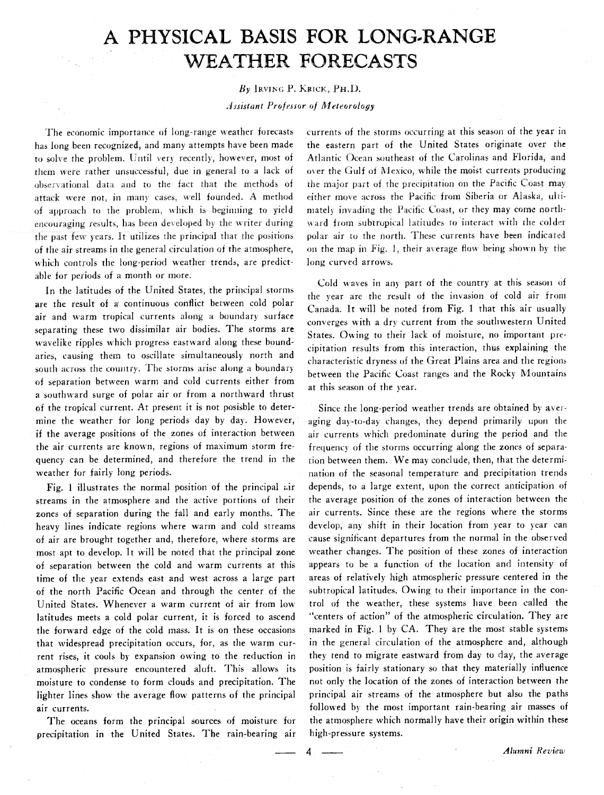## A PHYSICAL BASIS FOR LONG-RANGE **WEATHER FORECASTS**

## By IRVING P. KRICK, PH.D.

*Assistant Profasor of Meteorology* 

The economic importance of long-range weather forecasts has long been recognized, and many attempts have been made to solve the problem. Until very recently, however, most of them were rather unsuccessful, due in general to a lack of observational data and to the fact that the methods of attack were not, in many cases, well founded. A method of approach to the problem, which is beginning to yield encouraging results, has been developed by the writer during the past few years. It utilizes the principal that the positions of the air streams in the general circulation of the atmosphere, which controls the long-period weather trends, are predictable for periods of a month or more.

In the latitudes of the United States, the principal storms are the result of a continuous conflict between cold polar air and warm tropical currents along a boundary surface separating these two dissimilar air bodies. The storms are wavelike ripples which progress eastward along these boundaries, causing them to oscillate simultaneously north and south across the country. The storms arise along a boundary of separation between warm and cold currents either from a southward surge of polar air or from a northward thrust of the tropical current. **At** present it is not posisble to determine the weather for long periods day by day. However, if the average positions of the zones of interaction between the air currents are known, regions of maximum storm frequency can be determined, and therefore the trend in the weather for fairly long periods.

Fig. 1 illustrates the normal position of the principal air streams in the atmosphere and the active portions of their zones of separation during the fall and early months. The heavy lines indicate regions where warm and cold streams of air are brought together and, therefore, where storms are most apt to develop. It will be noted that the principal zone of separation between the cold and warm currents at this time of the year extends east and west across a large part of the north Pacific Ocean and through the center of the United States. Whenever a warm current of air from low latitudes meets a cold polar current, it is forced to ascend the forward edge of the cold mass. It is on these occasions that widespread precipitation occurs, for, as the warm current rises, it cools by expansion owing to the reduction in atmospheric pressure encountered aloft. This allows its moisture to condense to form clouds and precipitation. The lighter lines show the average flow patterns of the principal air currents.

The oceans form the principal sources of moisture for precipitation in the United States. The rain-bearing air

currents of the storms occurring at this season of the year in the eastern part of the United States originate over the Atlantic Ocean southeast of the Carolinas and Florida, and over the Gulf of Mexico, while the moist currents producing the major part of the precipitation on the Pacific Coast may either move across the Pacific from Siberia or Alaska, ultimately invading the Pacific Coast, or they may come northward from subtropical latitudes to interact with the colder polar air to the north. These currents have been indicated on the map in Fig. 1, their average flow being shown by the long curved arrows.

Cold waves in any part of the country at this season of rhe year are the result of the invasion of cold air from Canada. It will be noted from Fig. 1 that this air usually converges with a dry current from the southwestern United States. Owing to their lack of moisture, no important precipitation results from this interaction, thus explaining the characteristic dryness of the Great Plains area and tlie region;, between the Pacific Coast ranges and the Rocky Mountains at this season of the year.

Since the long-period weather trends are obtained by averaging day-to-day changes, they depend primarily upon the air currents which predominate during the period and the frequency of the storms occurring along the zones of separation between them. We may conclude, then, that the determination of the seasonal temperature and precipitation trends depends, to a large extent, upon the correct anticipation of the average position of the zones of interaction between the air currents. Since these are the regions where the storms develop, any shift in their location from year to year can cause significant departures from the normal in the observed weather changes. The position of these zones of interaction appears to be a function of the location and intensity of areas of relatively high atmospheric pressure centered in the subtropical latitudes. Owing to their importance in the control of the weather, these systems have been called the "centers of action" of the atmospheric circulation. They are marked in Fig. 1 by CA. They are the most stable systems in the general circulation of the atmosphere and, although they tend to migrate eastward from day to day, the average position is fairly stationary so that they materially influence not only the location of the zones of interaction between the principal air streams of the atmosphere but also the paths followed by the most important rain-bearing air masses of the atmosphere which normally have their origin within these high-pressure systems. Frincipal an streams of the atmosphere but also the pairs<br>
followed by the most important rain-bearing air masses of<br>
the atmosphere which normally have their origin within these<br>
high-pressure systems.<br> **4**